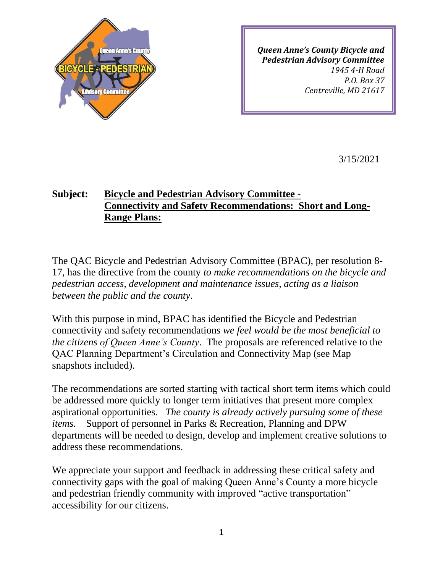

*Queen Anne's County Bicycle and Pedestrian Advisory Committee 1945 4-H Road P.O. Box 37 Centreville, MD 21617*

3/15/2021

## **Subject: Bicycle and Pedestrian Advisory Committee - Connectivity and Safety Recommendations: Short and Long-Range Plans:**

The QAC Bicycle and Pedestrian Advisory Committee (BPAC), per resolution 8- 17, has the directive from the county *to make recommendations on the bicycle and pedestrian access, development and maintenance issues, acting as a liaison between the public and the county*.

With this purpose in mind, BPAC has identified the Bicycle and Pedestrian connectivity and safety recommendations *we feel would be the most beneficial to the citizens of Queen Anne's County*. The proposals are referenced relative to the QAC Planning Department's Circulation and Connectivity Map (see Map snapshots included).

The recommendations are sorted starting with tactical short term items which could be addressed more quickly to longer term initiatives that present more complex aspirational opportunities. *The county is already actively pursuing some of these items.* Support of personnel in Parks & Recreation, Planning and DPW departments will be needed to design, develop and implement creative solutions to address these recommendations.

We appreciate your support and feedback in addressing these critical safety and connectivity gaps with the goal of making Queen Anne's County a more bicycle and pedestrian friendly community with improved "active transportation" accessibility for our citizens.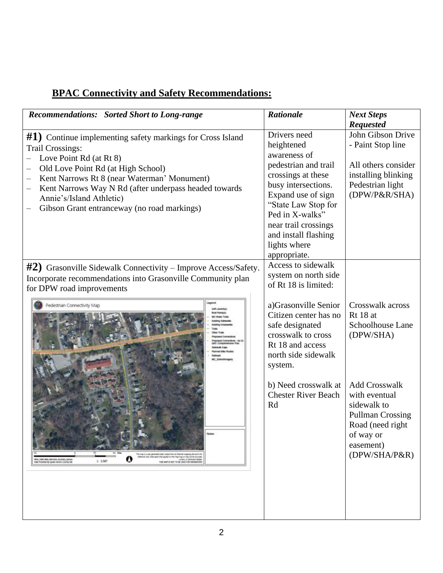| <b>Recommendations:</b> Sorted Short to Long-range                                                                                                                                                                                                                                                                                                                                                                                                                                                                              | <b>Rationale</b>                                                                                                                                                                                                                                                               | <b>Next Steps</b><br><b>Requested</b>                                                                                                                                                                           |
|---------------------------------------------------------------------------------------------------------------------------------------------------------------------------------------------------------------------------------------------------------------------------------------------------------------------------------------------------------------------------------------------------------------------------------------------------------------------------------------------------------------------------------|--------------------------------------------------------------------------------------------------------------------------------------------------------------------------------------------------------------------------------------------------------------------------------|-----------------------------------------------------------------------------------------------------------------------------------------------------------------------------------------------------------------|
| #1) Continue implementing safety markings for Cross Island<br><b>Trail Crossings:</b><br>Love Point Rd (at Rt 8)<br>Old Love Point Rd (at High School)<br>Kent Narrows Rt 8 (near Waterman' Monument)<br>Kent Narrows Way N Rd (after underpass headed towards<br>Annie's/Island Athletic)<br>Gibson Grant entranceway (no road markings)                                                                                                                                                                                       | Drivers need<br>heightened<br>awareness of<br>pedestrian and trail<br>crossings at these<br>busy intersections.<br>Expand use of sign<br>"State Law Stop for<br>Ped in X-walks"<br>near trail crossings<br>and install flashing<br>lights where<br>appropriate.                | John Gibson Drive<br>- Paint Stop line<br>All others consider<br>installing blinking<br>Pedestrian light<br>(DPW/P&R/SHA)                                                                                       |
| $#2$ ) Grasonville Sidewalk Connectivity – Improve Access/Safety.<br>Incorporate recommendations into Grasonville Community plan<br>for DPW road improvements<br>Pedestrian Connectivity Map<br>Notwe<br>This map is a user generated make output from an internet masping alle until is for<br>reference unity. Data open that appear un tim may may us may not be accurate.<br>v<br>WILL 1984, Web, Merceton Australy Sphe<br>1.2587<br>HO MAP S NOT TO BE USES FOR INVISATION<br>(light Projected By Queen Arine's County-MD | Access to sidewalk<br>system on north side<br>of Rt 18 is limited:<br>a)Grasonville Senior<br>Citizen center has no<br>safe designated<br>crosswalk to cross<br>Rt 18 and access<br>north side sidewalk<br>system.<br>b) Need crosswalk at<br><b>Chester River Beach</b><br>Rd | Crosswalk across<br>Rt 18 at<br>Schoolhouse Lane<br>(DPW/SHA)<br><b>Add Crosswalk</b><br>with eventual<br>sidewalk to<br><b>Pullman Crossing</b><br>Road (need right<br>of way or<br>easement)<br>(DPW/SHA/P&R) |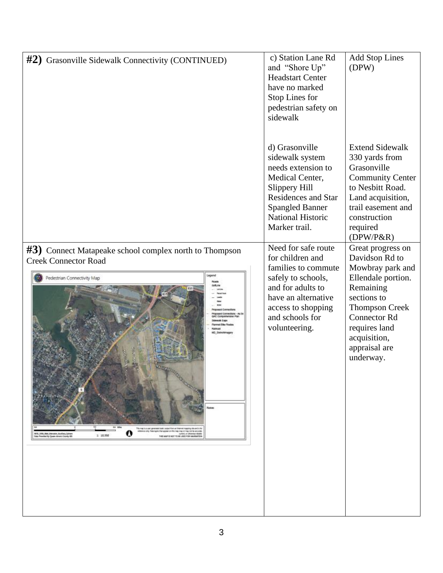| #2) Grasonville Sidewalk Connectivity (CONTINUED)                                                                                                                                                                                                                                                                                                                                                                                                                                 | c) Station Lane Rd<br>and "Shore Up"<br><b>Headstart Center</b><br>have no marked<br>Stop Lines for<br>pedestrian safety on<br>sidewalk                                                          | <b>Add Stop Lines</b><br>(DPW)                                                                                                                                                                                           |
|-----------------------------------------------------------------------------------------------------------------------------------------------------------------------------------------------------------------------------------------------------------------------------------------------------------------------------------------------------------------------------------------------------------------------------------------------------------------------------------|--------------------------------------------------------------------------------------------------------------------------------------------------------------------------------------------------|--------------------------------------------------------------------------------------------------------------------------------------------------------------------------------------------------------------------------|
|                                                                                                                                                                                                                                                                                                                                                                                                                                                                                   | d) Grasonville<br>sidewalk system<br>needs extension to<br>Medical Center,<br>Slippery Hill<br><b>Residences and Star</b><br><b>Spangled Banner</b><br><b>National Historic</b><br>Marker trail. | <b>Extend Sidewalk</b><br>330 yards from<br>Grasonville<br><b>Community Center</b><br>to Nesbitt Road.<br>Land acquisition,<br>trail easement and<br>construction<br>required<br>$(DPW/P\&R)$                            |
| #3) Connect Matapeake school complex north to Thompson<br><b>Creek Connector Road</b><br>Pedestrian Connectivity Map<br>Votes<br>This map is a case generated static custod from an Internet mapping site and is for<br>a circle. Class happing that appear con this map may on map not be accurate<br>NGC, 2004, Niko Manusian Awallany Daham<br>Data Provided by Queen Arvar's County 00<br>unart, cr collamica robable<br>1: 10.350<br>THE MARIE WOT TO BE LERO AND HANDLATEN. | Need for safe route<br>for children and<br>families to commute<br>safely to schools,<br>and for adults to<br>have an alternative<br>access to shopping<br>and schools for<br>volunteering.       | Great progress on<br>Davidson Rd to<br>Mowbray park and<br>Ellendale portion.<br>Remaining<br>sections to<br><b>Thompson Creek</b><br><b>Connector Rd</b><br>requires land<br>acquisition,<br>appraisal are<br>underway. |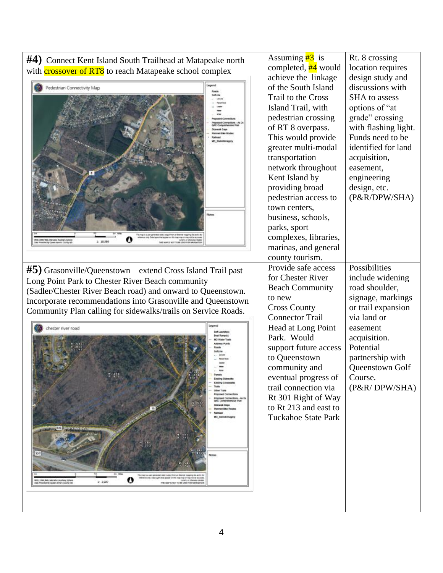**#4)** Connect Kent Island South Trailhead at Matapeake north with **crossover of RT8** to reach Matapeake school complex



 $\mathbf o$ 

 $1:350$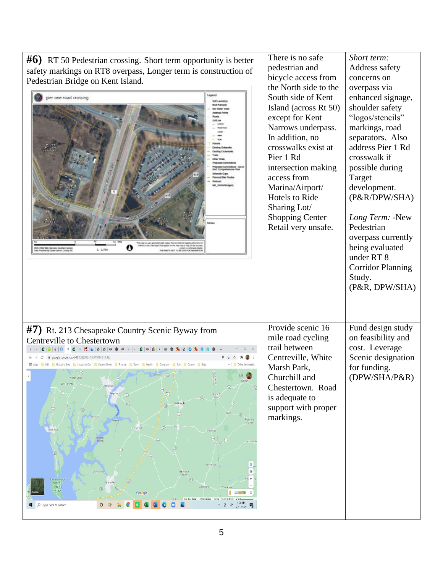| $\#6$ ) RT 50 Pedestrian crossing. Short term opportunity is better<br>safety markings on RT8 overpass, Longer term is construction of<br>Pedestrian Bridge on Kent Island.<br>ier one road crossing<br>his map is a user generated atalk valued from an treatment capping also and/o<br>64, Wath, Marcator, Australy, Sphe<br>Wilad Ry Guass, Avenus County O<br>1:179<br>45 MAR SLINCE TO BE USED FOR NAVIGATI                                                                                                                                                                                                                                                                                                                                                                                                                                                                                                                                                                                                                                        | There is no safe<br>pedestrian and<br>bicycle access from<br>the North side to the<br>South side of Kent<br>Island (across Rt 50)<br>except for Kent<br>Narrows underpass.<br>In addition, no<br>crosswalks exist at<br>Pier 1 Rd<br>intersection making<br>access from<br>Marina/Airport/<br>Hotels to Ride<br>Sharing Lot/<br><b>Shopping Center</b><br>Retail very unsafe. | Short term:<br>Address safety<br>concerns on<br>overpass via<br>enhanced signage,<br>shoulder safety<br>"logos/stencils"<br>markings, road<br>separators. Also<br>address Pier 1 Rd<br>crosswalk if<br>possible during<br>Target<br>development.<br>(P&R/DPW/SHA)<br>Long Term: -New<br>Pedestrian<br>overpass currently<br>being evaluated<br>under RT 8<br><b>Corridor Planning</b><br>Study.<br>(P&R, DPW/SHA) |
|---------------------------------------------------------------------------------------------------------------------------------------------------------------------------------------------------------------------------------------------------------------------------------------------------------------------------------------------------------------------------------------------------------------------------------------------------------------------------------------------------------------------------------------------------------------------------------------------------------------------------------------------------------------------------------------------------------------------------------------------------------------------------------------------------------------------------------------------------------------------------------------------------------------------------------------------------------------------------------------------------------------------------------------------------------|-------------------------------------------------------------------------------------------------------------------------------------------------------------------------------------------------------------------------------------------------------------------------------------------------------------------------------------------------------------------------------|-------------------------------------------------------------------------------------------------------------------------------------------------------------------------------------------------------------------------------------------------------------------------------------------------------------------------------------------------------------------------------------------------------------------|
| #7) Rt. 213 Chesapeake Country Scenic Byway from<br>Centreville to Chestertown<br>$\bullet$<br>@ appale.com/maps/@39.1293543.-75.9710142.11.36;<br>He Apps <b>AD</b> MD <b>A</b> Shopping-Bob <b>A</b> Shopping-Con <b>B</b> Eastern Shore <b>A</b> Finance <b>A</b> Travel <b>B</b> Realth <b>A</b> Computer <b>B</b> Bob <b>B</b> Connie <b>B</b> Brad<br>Other bookmark<br>Woods Edge<br>$\circledcirc$<br>Georgetown<br>(101)<br>$\circledR$<br>$\textcircled{\scriptsize{2}}$<br>画<br>$\sqrt{34}$<br>$\circledcirc$<br>$\circledR$<br>$\overline{45}$<br>(44)<br>Hartly<br>(31)<br>$^{\circ}$<br>Pearsons<br>Corner<br>Barclay<br>ø<br>Church Hil<br>Rock Hall<br>Templeville<br>$\begin{array}{c} \hline \text{G3} \\ \hline \end{array}$<br>Ashland<br>Landing<br>Hazlettvil<br>Marvde<br>Baltimore<br>Comer<br>Fastern Neck<br>(31)<br>▧<br>National<br>Wildlife<br>$\textcircled{\scriptsize{13}}$<br>$\textcircled{\scriptsize{12}}$<br>Refuge<br>Google<br>三つ絵<br>9:28 PM<br>$\rho$ Type here to search<br>0 草<br>∧ @<br>$\phi$<br>2/11/2021 | Provide scenic 16<br>mile road cycling<br>trail between<br>Centreville, White<br>Marsh Park,<br>Churchill and<br>Chestertown. Road<br>is adequate to<br>support with proper<br>markings.                                                                                                                                                                                      | Fund design study<br>on feasibility and<br>cost. Leverage<br>Scenic designation<br>for funding.<br>(DPW/SHA/P&R)                                                                                                                                                                                                                                                                                                  |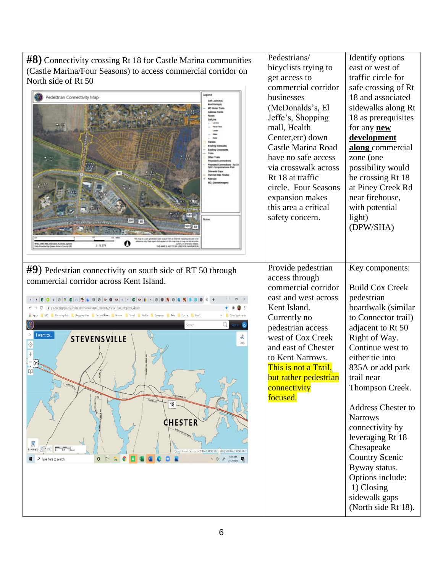**#8)** Connectivity crossing Rt 18 for Castle Marina communities (Castle Marina/Four Seasons) to access commercial corridor on North side of Rt 50



Pedestrians/

bicyclists trying to

Identify options east or west of